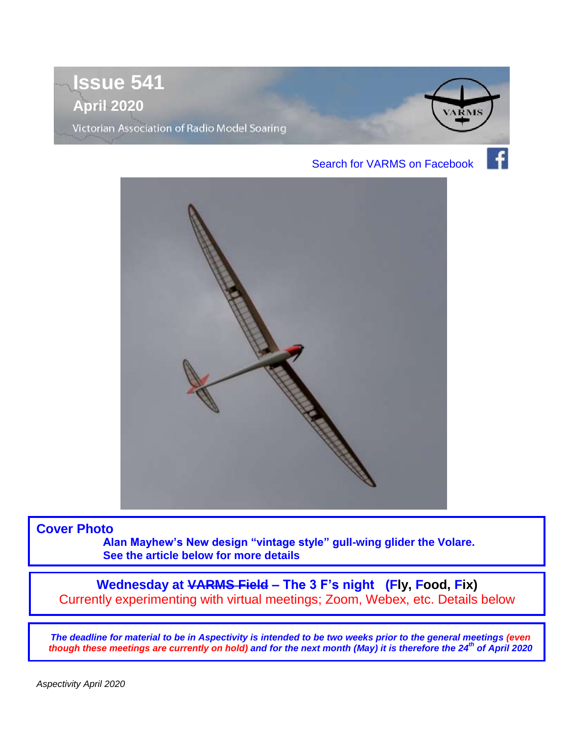



**Cover Photo** 

**Alan Mayhew's New design "vintage style" gull-wing glider the Volare. See the article below for more details** 

**Wednesday at VARMS Field – The 3 F's night (Fly, Food, Fix)** Currently experimenting with virtual meetings; Zoom, Webex, etc. Details below

*The deadline for material to be in Aspectivity is intended to be two weeks prior to the general meetings (even though these meetings are currently on hold) and for the next month (May) it is therefore the 24th of April 2020*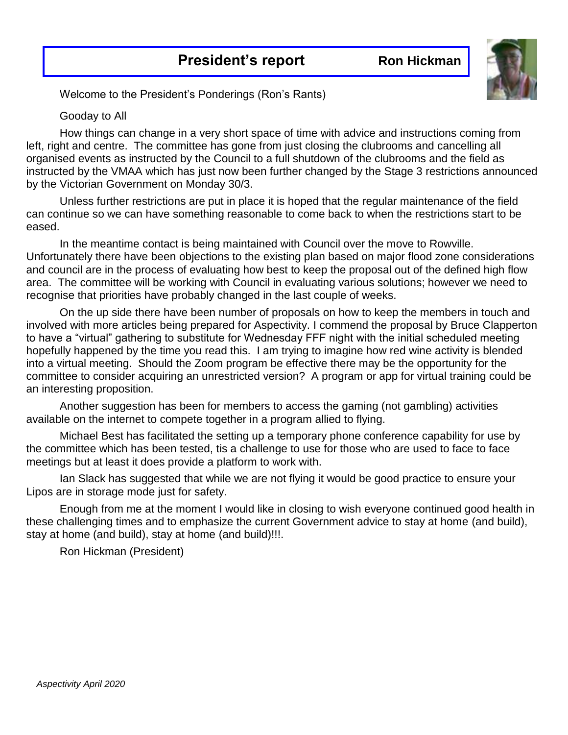

Welcome to the President's Ponderings (Ron's Rants)

#### Gooday to All

How things can change in a very short space of time with advice and instructions coming from left, right and centre. The committee has gone from just closing the clubrooms and cancelling all organised events as instructed by the Council to a full shutdown of the clubrooms and the field as instructed by the VMAA which has just now been further changed by the Stage 3 restrictions announced by the Victorian Government on Monday 30/3.

Unless further restrictions are put in place it is hoped that the regular maintenance of the field can continue so we can have something reasonable to come back to when the restrictions start to be eased.

In the meantime contact is being maintained with Council over the move to Rowville. Unfortunately there have been objections to the existing plan based on major flood zone considerations and council are in the process of evaluating how best to keep the proposal out of the defined high flow area. The committee will be working with Council in evaluating various solutions; however we need to recognise that priorities have probably changed in the last couple of weeks.

On the up side there have been number of proposals on how to keep the members in touch and involved with more articles being prepared for Aspectivity. I commend the proposal by Bruce Clapperton to have a "virtual" gathering to substitute for Wednesday FFF night with the initial scheduled meeting hopefully happened by the time you read this. I am trying to imagine how red wine activity is blended into a virtual meeting. Should the Zoom program be effective there may be the opportunity for the committee to consider acquiring an unrestricted version? A program or app for virtual training could be an interesting proposition.

Another suggestion has been for members to access the gaming (not gambling) activities available on the internet to compete together in a program allied to flying.

Michael Best has facilitated the setting up a temporary phone conference capability for use by the committee which has been tested, tis a challenge to use for those who are used to face to face meetings but at least it does provide a platform to work with.

Ian Slack has suggested that while we are not flying it would be good practice to ensure your Lipos are in storage mode just for safety.

Enough from me at the moment I would like in closing to wish everyone continued good health in these challenging times and to emphasize the current Government advice to stay at home (and build), stay at home (and build), stay at home (and build)!!!.

Ron Hickman (President)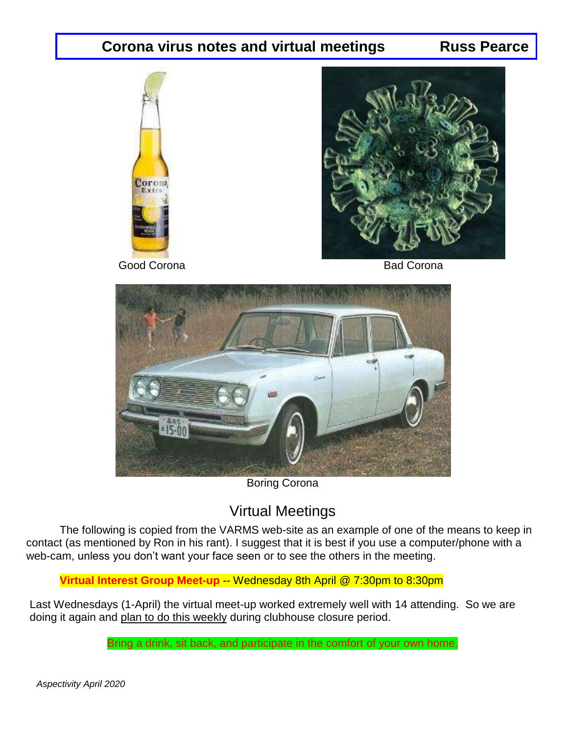#### **Corona virus notes and virtual meetings Russ Pearce**





Good Corona **Bad Corona** Bad Corona



Boring Corona

### Virtual Meetings

The following is copied from the VARMS web-site as an example of one of the means to keep in contact (as mentioned by Ron in his rant). I suggest that it is best if you use a computer/phone with a web-cam, unless you don't want your face seen or to see the others in the meeting.

**Virtual Interest Group Meet-up -- Wednesday 8th April @ 7:30pm to 8:30pm** 

Last Wednesdays (1-April) the virtual meet-up worked extremely well with 14 attending. So we are doing it again and plan to do this weekly during clubhouse closure period.

Bring a drink, sit back, and participate in the comfort of your own home.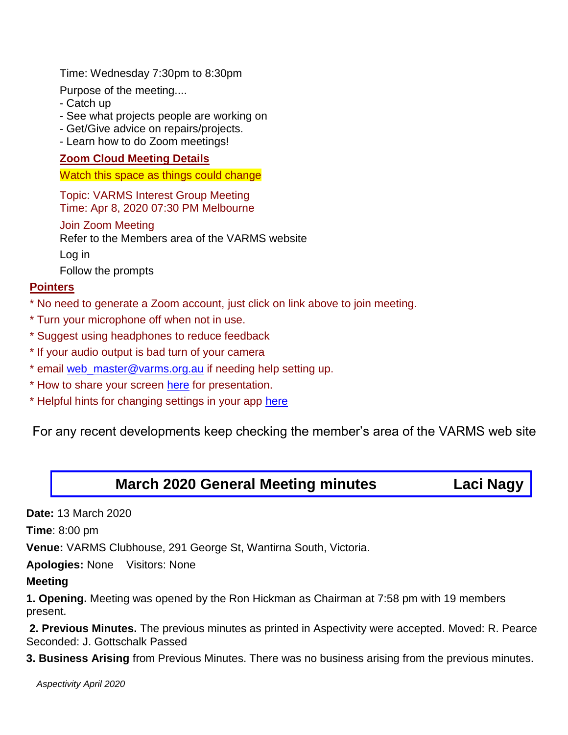Time: Wednesday 7:30pm to 8:30pm

Purpose of the meeting....

- Catch up
- See what projects people are working on
- Get/Give advice on repairs/projects.
- Learn how to do Zoom meetings!

#### **Zoom Cloud Meeting Details**

Watch this space as things could change

Topic: VARMS Interest Group Meeting Time: Apr 8, 2020 07:30 PM Melbourne

#### Join Zoom Meeting

Refer to the Members area of the VARMS website

Log in

Follow the prompts

#### **Pointers**

- \* No need to generate a Zoom account, just click on link above to join meeting.
- \* Turn your microphone off when not in use.
- \* Suggest using headphones to reduce feedback
- \* If your audio output is bad turn of your camera
- \* email [web\\_master@varms.org.au](mailto:web_master@varms.org.au?subject=Zoom%20help) if needing help setting up.
- \* How to share your screen [here](https://support.zoom.us/hc/en-us/articles/201362153-Sharing-your-screen) for presentation.
- \* Helpful hints for changing settings in your app [here](https://support.zoom.us/hc/en-us/articles/201362623-Changing-settings-in-the-desktop-client-or-mobile-app)

For any recent developments keep checking the member's area of the VARMS web site

#### **March 2020 General Meeting minutes Laci Nagy**

**Date:** 13 March 2020

**Time**: 8:00 pm

**Venue:** VARMS Clubhouse, 291 George St, Wantirna South, Victoria.

**Apologies:** None Visitors: None

#### **Meeting**

**1. Opening.** Meeting was opened by the Ron Hickman as Chairman at 7:58 pm with 19 members present.

**2. Previous Minutes.** The previous minutes as printed in Aspectivity were accepted. Moved: R. Pearce Seconded: J. Gottschalk Passed

**3. Business Arising** from Previous Minutes. There was no business arising from the previous minutes.

 *Aspectivity April 2020*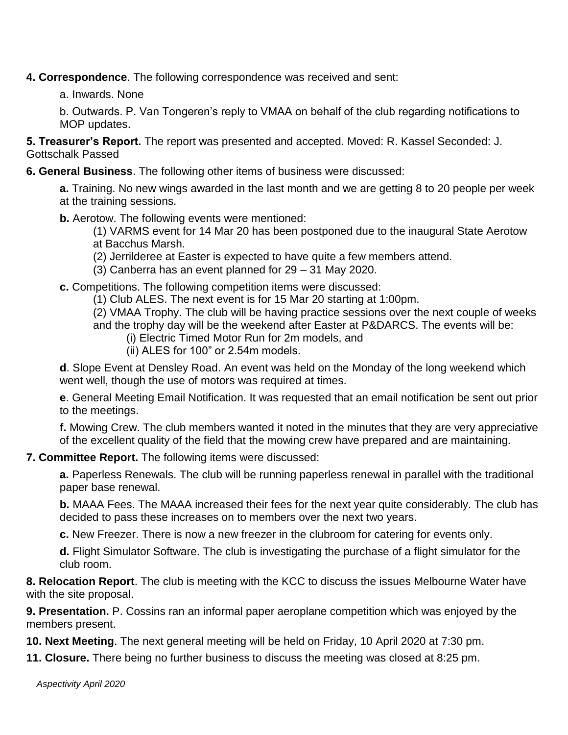**4. Correspondence**. The following correspondence was received and sent:

a. Inwards. None

b. Outwards. P. Van Tongeren's reply to VMAA on behalf of the club regarding notifications to MOP updates.

**5. Treasurer's Report.** The report was presented and accepted. Moved: R. Kassel Seconded: J. Gottschalk Passed

**6. General Business**. The following other items of business were discussed:

**a.** Training. No new wings awarded in the last month and we are getting 8 to 20 people per week at the training sessions.

**b.** Aerotow. The following events were mentioned:

(1) VARMS event for 14 Mar 20 has been postponed due to the inaugural State Aerotow at Bacchus Marsh.

(2) Jerrilderee at Easter is expected to have quite a few members attend.

(3) Canberra has an event planned for 29 – 31 May 2020.

**c.** Competitions. The following competition items were discussed:

(1) Club ALES. The next event is for 15 Mar 20 starting at 1:00pm.

(2) VMAA Trophy. The club will be having practice sessions over the next couple of weeks and the trophy day will be the weekend after Easter at P&DARCS. The events will be:

- (i) Electric Timed Motor Run for 2m models, and
- (ii) ALES for 100" or 2.54m models.

**d**. Slope Event at Densley Road. An event was held on the Monday of the long weekend which went well, though the use of motors was required at times.

**e**. General Meeting Email Notification. It was requested that an email notification be sent out prior to the meetings.

**f.** Mowing Crew. The club members wanted it noted in the minutes that they are very appreciative of the excellent quality of the field that the mowing crew have prepared and are maintaining.

**7. Committee Report.** The following items were discussed:

**a.** Paperless Renewals. The club will be running paperless renewal in parallel with the traditional paper base renewal.

**b.** MAAA Fees. The MAAA increased their fees for the next year quite considerably. The club has decided to pass these increases on to members over the next two years.

**c.** New Freezer. There is now a new freezer in the clubroom for catering for events only.

**d.** Flight Simulator Software. The club is investigating the purchase of a flight simulator for the club room.

**8. Relocation Report**. The club is meeting with the KCC to discuss the issues Melbourne Water have with the site proposal.

**9. Presentation.** P. Cossins ran an informal paper aeroplane competition which was enjoyed by the members present.

**10. Next Meeting**. The next general meeting will be held on Friday, 10 April 2020 at 7:30 pm.

**11. Closure.** There being no further business to discuss the meeting was closed at 8:25 pm.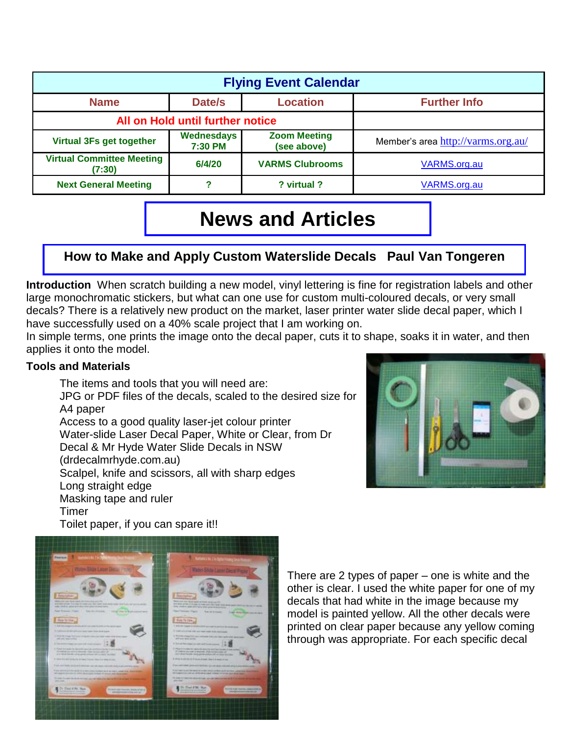| <b>Flying Event Calendar</b>               |                       |                                    |                                    |  |  |  |
|--------------------------------------------|-----------------------|------------------------------------|------------------------------------|--|--|--|
| <b>Name</b>                                | <b>Further Info</b>   |                                    |                                    |  |  |  |
| All on Hold until further notice           |                       |                                    |                                    |  |  |  |
| Virtual 3Fs get together                   | Wednesdays<br>7:30 PM | <b>Zoom Meeting</b><br>(see above) | Member's area http://varms.org.au/ |  |  |  |
| <b>Virtual Committee Meeting</b><br>(7:30) | 6/4/20                | <b>VARMS Clubrooms</b>             | VARMS.org.au                       |  |  |  |
| <b>Next General Meeting</b>                |                       | ? virtual ?                        | VARMS.org.au                       |  |  |  |

## **News and Articles**

#### **How to Make and Apply Custom Waterslide Decals Paul Van Tongeren**

**Introduction** When scratch building a new model, vinyl lettering is fine for registration labels and other large monochromatic stickers, but what can one use for custom multi-coloured decals, or very small decals? There is a relatively new product on the market, laser printer water slide decal paper, which I have successfully used on a 40% scale project that I am working on.

In simple terms, one prints the image onto the decal paper, cuts it to shape, soaks it in water, and then applies it onto the model.

#### **Tools and Materials**

The items and tools that you will need are: JPG or PDF files of the decals, scaled to the desired size for A4 paper Access to a good quality laser-jet colour printer Water-slide Laser Decal Paper, White or Clear, from Dr Decal & Mr Hyde Water Slide Decals in NSW (drdecalmrhyde.com.au) Scalpel, knife and scissors, all with sharp edges Long straight edge Masking tape and ruler Timer Toilet paper, if you can spare it!!





There are 2 types of paper – one is white and the other is clear. I used the white paper for one of my decals that had white in the image because my model is painted yellow. All the other decals were printed on clear paper because any yellow coming through was appropriate. For each specific decal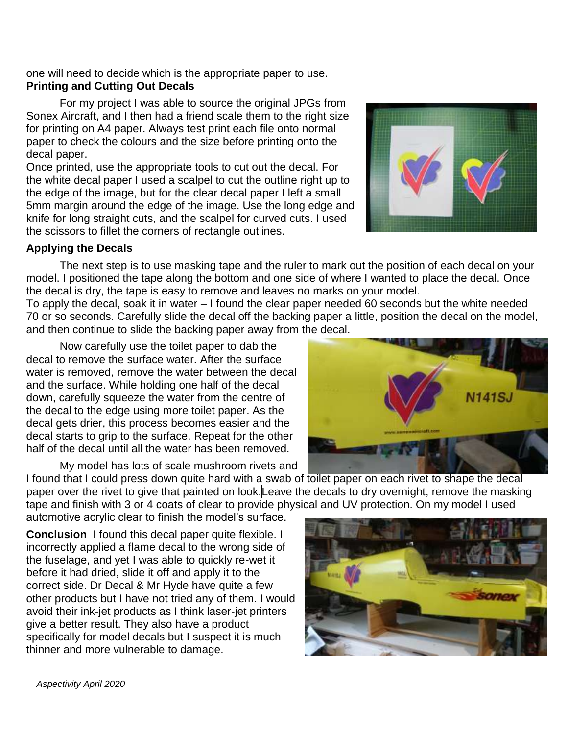one will need to decide which is the appropriate paper to use. **Printing and Cutting Out Decals**

For my project I was able to source the original JPGs from Sonex Aircraft, and I then had a friend scale them to the right size for printing on A4 paper. Always test print each file onto normal paper to check the colours and the size before printing onto the decal paper.

Once printed, use the appropriate tools to cut out the decal. For the white decal paper I used a scalpel to cut the outline right up to the edge of the image, but for the clear decal paper I left a small 5mm margin around the edge of the image. Use the long edge and knife for long straight cuts, and the scalpel for curved cuts. I used the scissors to fillet the corners of rectangle outlines.

#### **Applying the Decals**

The next step is to use masking tape and the ruler to mark out the position of each decal on your model. I positioned the tape along the bottom and one side of where I wanted to place the decal. Once the decal is dry, the tape is easy to remove and leaves no marks on your model.

To apply the decal, soak it in water – I found the clear paper needed 60 seconds but the white needed 70 or so seconds. Carefully slide the decal off the backing paper a little, position the decal on the model, and then continue to slide the backing paper away from the decal.

Now carefully use the toilet paper to dab the decal to remove the surface water. After the surface water is removed, remove the water between the decal and the surface. While holding one half of the decal down, carefully squeeze the water from the centre of the decal to the edge using more toilet paper. As the decal gets drier, this process becomes easier and the decal starts to grip to the surface. Repeat for the other half of the decal until all the water has been removed.

My model has lots of scale mushroom rivets and

I found that I could press down quite hard with a swab of toilet paper on each rivet to shape the decal paper over the rivet to give that painted on look.Leave the decals to dry overnight, remove the masking tape and finish with 3 or 4 coats of clear to provide physical and UV protection. On my model I used

automotive acrylic clear to finish the model's surface.

**Conclusion** I found this decal paper quite flexible. I incorrectly applied a flame decal to the wrong side of the fuselage, and yet I was able to quickly re-wet it before it had dried, slide it off and apply it to the correct side. Dr Decal & Mr Hyde have quite a few other products but I have not tried any of them. I would avoid their ink-jet products as I think laser-jet printers give a better result. They also have a product specifically for model decals but I suspect it is much thinner and more vulnerable to damage.





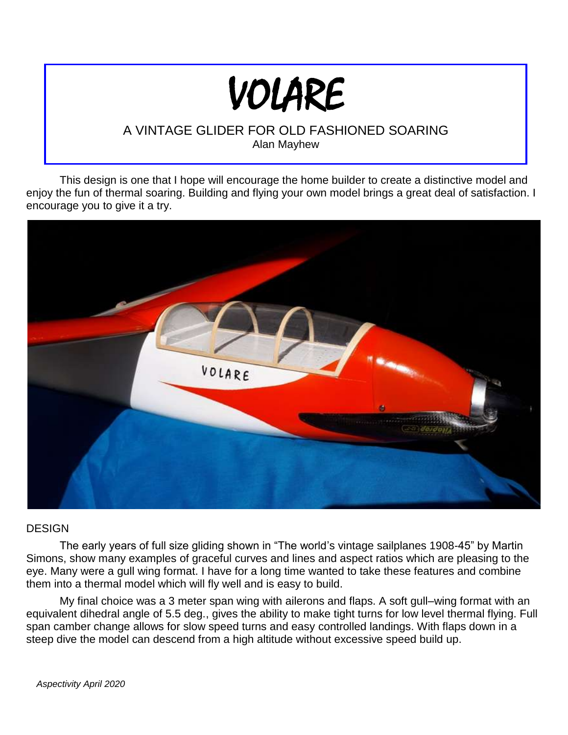# VOLARE

#### A VINTAGE GLIDER FOR OLD FASHIONED SOARING Alan Mayhew

This design is one that I hope will encourage the home builder to create a distinctive model and enjoy the fun of thermal soaring. Building and flying your own model brings a great deal of satisfaction. I encourage you to give it a try.



#### DESIGN

The early years of full size gliding shown in "The world's vintage sailplanes 1908-45" by Martin Simons, show many examples of graceful curves and lines and aspect ratios which are pleasing to the eye. Many were a gull wing format. I have for a long time wanted to take these features and combine them into a thermal model which will fly well and is easy to build.

My final choice was a 3 meter span wing with ailerons and flaps. A soft gull–wing format with an equivalent dihedral angle of 5.5 deg., gives the ability to make tight turns for low level thermal flying. Full span camber change allows for slow speed turns and easy controlled landings. With flaps down in a steep dive the model can descend from a high altitude without excessive speed build up.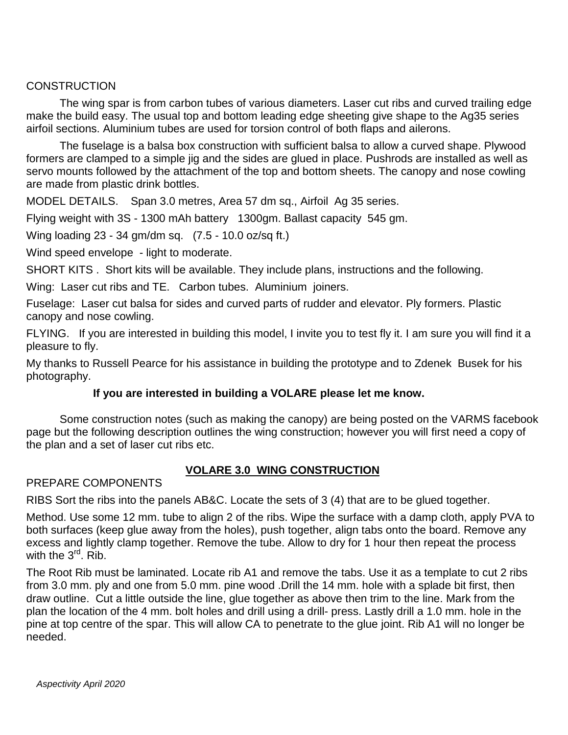#### **CONSTRUCTION**

The wing spar is from carbon tubes of various diameters. Laser cut ribs and curved trailing edge make the build easy. The usual top and bottom leading edge sheeting give shape to the Ag35 series airfoil sections. Aluminium tubes are used for torsion control of both flaps and ailerons.

The fuselage is a balsa box construction with sufficient balsa to allow a curved shape. Plywood formers are clamped to a simple jig and the sides are glued in place. Pushrods are installed as well as servo mounts followed by the attachment of the top and bottom sheets. The canopy and nose cowling are made from plastic drink bottles.

MODEL DETAILS. Span 3.0 metres, Area 57 dm sq., Airfoil Ag 35 series.

Flying weight with 3S - 1300 mAh battery 1300gm. Ballast capacity 545 gm.

Wing loading 23 - 34 gm/dm sq. (7.5 - 10.0 oz/sq ft.)

Wind speed envelope - light to moderate.

SHORT KITS . Short kits will be available. They include plans, instructions and the following.

Wing: Laser cut ribs and TE. Carbon tubes. Aluminium joiners.

Fuselage: Laser cut balsa for sides and curved parts of rudder and elevator. Ply formers. Plastic canopy and nose cowling.

FLYING. If you are interested in building this model, I invite you to test fly it. I am sure you will find it a pleasure to fly.

My thanks to Russell Pearce for his assistance in building the prototype and to Zdenek Busek for his photography.

#### **If you are interested in building a VOLARE please let me know.**

Some construction notes (such as making the canopy) are being posted on the VARMS facebook page but the following description outlines the wing construction; however you will first need a copy of the plan and a set of laser cut ribs etc.

#### **VOLARE 3.0 WING CONSTRUCTION**

#### PREPARE COMPONENTS

RIBS Sort the ribs into the panels AB&C. Locate the sets of 3 (4) that are to be glued together.

Method. Use some 12 mm. tube to align 2 of the ribs. Wipe the surface with a damp cloth, apply PVA to both surfaces (keep glue away from the holes), push together, align tabs onto the board. Remove any excess and lightly clamp together. Remove the tube. Allow to dry for 1 hour then repeat the process with the  $3<sup>rd</sup>$ . Rib.

The Root Rib must be laminated. Locate rib A1 and remove the tabs. Use it as a template to cut 2 ribs from 3.0 mm. ply and one from 5.0 mm. pine wood .Drill the 14 mm. hole with a splade bit first, then draw outline. Cut a little outside the line, glue together as above then trim to the line. Mark from the plan the location of the 4 mm. bolt holes and drill using a drill- press. Lastly drill a 1.0 mm. hole in the pine at top centre of the spar. This will allow CA to penetrate to the glue joint. Rib A1 will no longer be needed.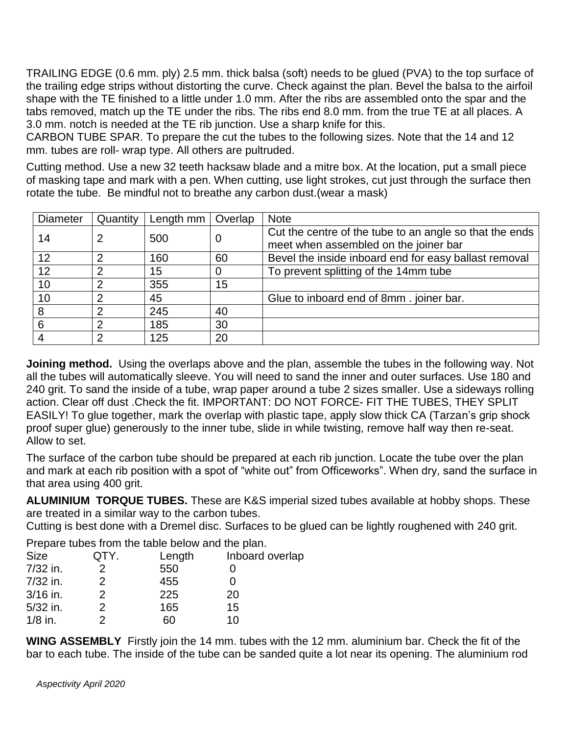TRAILING EDGE (0.6 mm. ply) 2.5 mm. thick balsa (soft) needs to be glued (PVA) to the top surface of the trailing edge strips without distorting the curve. Check against the plan. Bevel the balsa to the airfoil shape with the TE finished to a little under 1.0 mm. After the ribs are assembled onto the spar and the tabs removed, match up the TE under the ribs. The ribs end 8.0 mm. from the true TE at all places. A 3.0 mm. notch is needed at the TE rib junction. Use a sharp knife for this.

CARBON TUBE SPAR. To prepare the cut the tubes to the following sizes. Note that the 14 and 12 mm. tubes are roll- wrap type. All others are pultruded.

Cutting method. Use a new 32 teeth hacksaw blade and a mitre box. At the location, put a small piece of masking tape and mark with a pen. When cutting, use light strokes, cut just through the surface then rotate the tube. Be mindful not to breathe any carbon dust. (wear a mask)

| Diameter | Quantity | Length mm | Overlap | <b>Note</b>                                                                                      |
|----------|----------|-----------|---------|--------------------------------------------------------------------------------------------------|
| 14       |          | 500       | 0       | Cut the centre of the tube to an angle so that the ends<br>meet when assembled on the joiner bar |
| 12       |          | 160       | 60      | Bevel the inside inboard end for easy ballast removal                                            |
| 12       | ⌒        | 15        |         | To prevent splitting of the 14mm tube                                                            |
| 10       | 2        | 355       | 15      |                                                                                                  |
| 10       | っ        | 45        |         | Glue to inboard end of 8mm. joiner bar.                                                          |
| 8        | ⌒        | 245       | 40      |                                                                                                  |
| 6        | 2        | 185       | 30      |                                                                                                  |
|          | ⌒        | 125       | 20      |                                                                                                  |

**Joining method.** Using the overlaps above and the plan, assemble the tubes in the following way. Not all the tubes will automatically sleeve. You will need to sand the inner and outer surfaces. Use 180 and 240 grit. To sand the inside of a tube, wrap paper around a tube 2 sizes smaller. Use a sideways rolling action. Clear off dust .Check the fit. IMPORTANT: DO NOT FORCE- FIT THE TUBES, THEY SPLIT EASILY! To glue together, mark the overlap with plastic tape, apply slow thick CA (Tarzan's grip shock proof super glue) generously to the inner tube, slide in while twisting, remove half way then re-seat. Allow to set.

The surface of the carbon tube should be prepared at each rib junction. Locate the tube over the plan and mark at each rib position with a spot of "white out" from Officeworks". When dry, sand the surface in that area using 400 grit.

**ALUMINIUM TORQUE TUBES.** These are K&S imperial sized tubes available at hobby shops. These are treated in a similar way to the carbon tubes.

Cutting is best done with a Dremel disc. Surfaces to be glued can be lightly roughened with 240 grit.

Prepare tubes from the table below and the plan.

| QTY. | Length | Inboard overlap |
|------|--------|-----------------|
|      | 550    |                 |
| 2.   | 455    |                 |
| 2    | 225    | 20              |
| 2    | 165    | 15              |
|      | 60     | 10              |
|      |        |                 |

**WING ASSEMBLY** Firstly join the 14 mm. tubes with the 12 mm. aluminium bar. Check the fit of the bar to each tube. The inside of the tube can be sanded quite a lot near its opening. The aluminium rod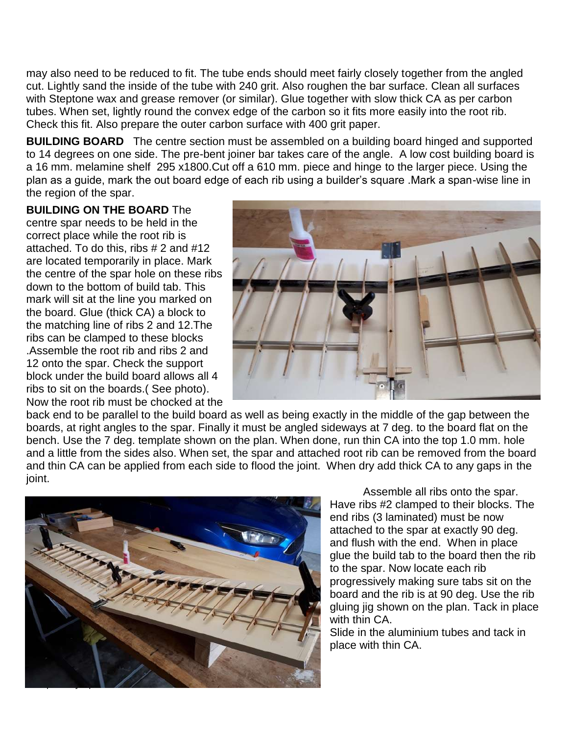may also need to be reduced to fit. The tube ends should meet fairly closely together from the angled cut. Lightly sand the inside of the tube with 240 grit. Also roughen the bar surface. Clean all surfaces with Steptone wax and grease remover (or similar). Glue together with slow thick CA as per carbon tubes. When set, lightly round the convex edge of the carbon so it fits more easily into the root rib. Check this fit. Also prepare the outer carbon surface with 400 grit paper.

**BUILDING BOARD** The centre section must be assembled on a building board hinged and supported to 14 degrees on one side. The pre-bent joiner bar takes care of the angle. A low cost building board is a 16 mm. melamine shelf 295 x1800.Cut off a 610 mm. piece and hinge to the larger piece. Using the plan as a guide, mark the out board edge of each rib using a builder's square .Mark a span-wise line in the region of the spar.

**BUILDING ON THE BOARD** The

centre spar needs to be held in the correct place while the root rib is attached. To do this, ribs # 2 and #12 are located temporarily in place. Mark the centre of the spar hole on these ribs down to the bottom of build tab. This mark will sit at the line you marked on the board. Glue (thick CA) a block to the matching line of ribs 2 and 12.The ribs can be clamped to these blocks .Assemble the root rib and ribs 2 and 12 onto the spar. Check the support block under the build board allows all 4 ribs to sit on the boards.( See photo). Now the root rib must be chocked at the



back end to be parallel to the build board as well as being exactly in the middle of the gap between the boards, at right angles to the spar. Finally it must be angled sideways at 7 deg. to the board flat on the bench. Use the 7 deg. template shown on the plan. When done, run thin CA into the top 1.0 mm. hole and a little from the sides also. When set, the spar and attached root rib can be removed from the board and thin CA can be applied from each side to flood the joint. When dry add thick CA to any gaps in the joint.



Assemble all ribs onto the spar. Have ribs #2 clamped to their blocks. The end ribs (3 laminated) must be now attached to the spar at exactly 90 deg. and flush with the end. When in place glue the build tab to the board then the rib to the spar. Now locate each rib progressively making sure tabs sit on the board and the rib is at 90 deg. Use the rib gluing jig shown on the plan. Tack in place with thin CA

Slide in the aluminium tubes and tack in place with thin CA.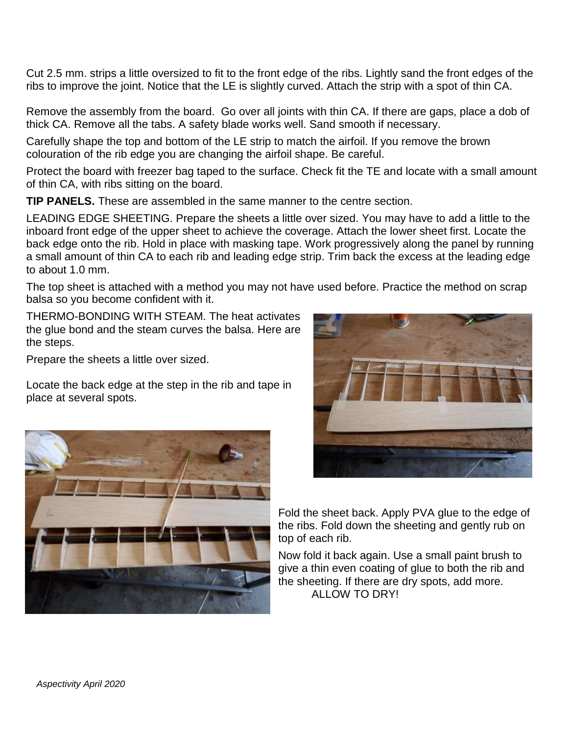Cut 2.5 mm. strips a little oversized to fit to the front edge of the ribs. Lightly sand the front edges of the ribs to improve the joint. Notice that the LE is slightly curved. Attach the strip with a spot of thin CA.

Remove the assembly from the board. Go over all joints with thin CA. If there are gaps, place a dob of thick CA. Remove all the tabs. A safety blade works well. Sand smooth if necessary.

Carefully shape the top and bottom of the LE strip to match the airfoil. If you remove the brown colouration of the rib edge you are changing the airfoil shape. Be careful.

Protect the board with freezer bag taped to the surface. Check fit the TE and locate with a small amount of thin CA, with ribs sitting on the board.

**TIP PANELS.** These are assembled in the same manner to the centre section.

LEADING EDGE SHEETING. Prepare the sheets a little over sized. You may have to add a little to the inboard front edge of the upper sheet to achieve the coverage. Attach the lower sheet first. Locate the back edge onto the rib. Hold in place with masking tape. Work progressively along the panel by running a small amount of thin CA to each rib and leading edge strip. Trim back the excess at the leading edge to about 1.0 mm.

The top sheet is attached with a method you may not have used before. Practice the method on scrap balsa so you become confident with it.

THERMO-BONDING WITH STEAM. The heat activates the glue bond and the steam curves the balsa. Here are the steps.

Prepare the sheets a little over sized.

Locate the back edge at the step in the rib and tape in place at several spots.





Fold the sheet back. Apply PVA glue to the edge of the ribs. Fold down the sheeting and gently rub on top of each rib.

Now fold it back again. Use a small paint brush to give a thin even coating of glue to both the rib and the sheeting. If there are dry spots, add more. ALLOW TO DRY!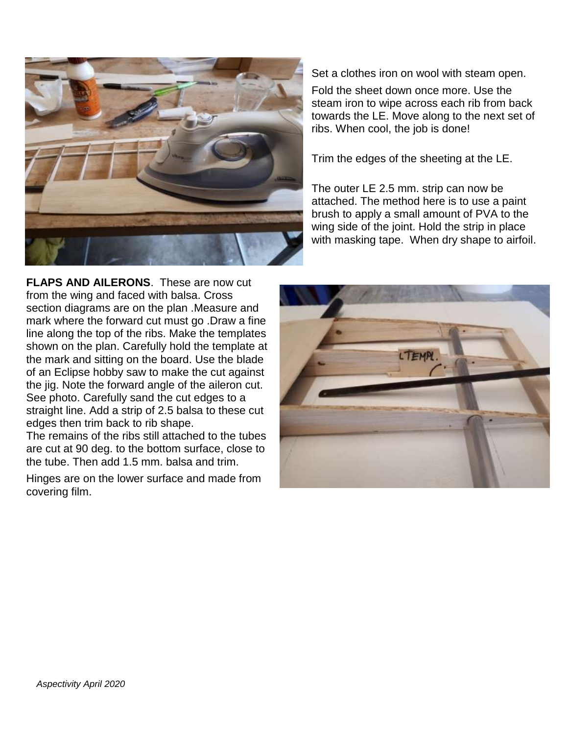

Set a clothes iron on wool with steam open.

Fold the sheet down once more. Use the steam iron to wipe across each rib from back towards the LE. Move along to the next set of ribs. When cool, the job is done!

Trim the edges of the sheeting at the LE.

The outer LE 2.5 mm. strip can now be attached. The method here is to use a paint brush to apply a small amount of PVA to the wing side of the joint. Hold the strip in place with masking tape. When dry shape to airfoil.

**FLAPS AND AILERONS**. These are now cut from the wing and faced with balsa. Cross section diagrams are on the plan .Measure and mark where the forward cut must go .Draw a fine line along the top of the ribs. Make the templates shown on the plan. Carefully hold the template at the mark and sitting on the board. Use the blade of an Eclipse hobby saw to make the cut against the jig. Note the forward angle of the aileron cut. See photo. Carefully sand the cut edges to a straight line. Add a strip of 2.5 balsa to these cut edges then trim back to rib shape.

The remains of the ribs still attached to the tubes are cut at 90 deg. to the bottom surface, close to the tube. Then add 1.5 mm. balsa and trim.

Hinges are on the lower surface and made from covering film.

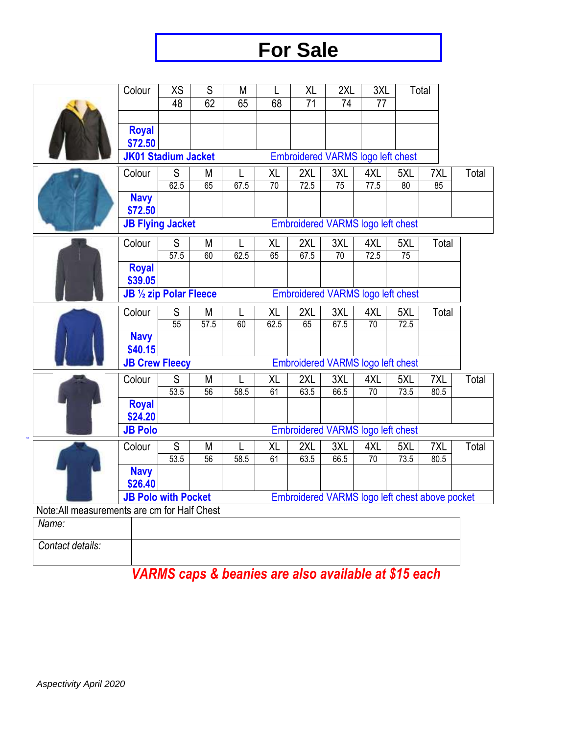## **For Sale**

|                                                                                                                              | Colour                                                                 | XS            | $\overline{S}$ | M       | L          | $\overline{X}$  | 2XL                                      | 3XL       |             | Total |       |
|------------------------------------------------------------------------------------------------------------------------------|------------------------------------------------------------------------|---------------|----------------|---------|------------|-----------------|------------------------------------------|-----------|-------------|-------|-------|
|                                                                                                                              |                                                                        | 48            | 62             | 65      | 68         | $\overline{71}$ | 74                                       | 77        |             |       |       |
|                                                                                                                              |                                                                        |               |                |         |            |                 |                                          |           |             |       |       |
|                                                                                                                              | <b>Royal</b>                                                           |               |                |         |            |                 |                                          |           |             |       |       |
|                                                                                                                              | \$72.50                                                                |               |                |         |            |                 |                                          |           |             |       |       |
|                                                                                                                              | <b>JK01 Stadium Jacket</b><br><b>Embroidered VARMS logo left chest</b> |               |                |         |            |                 |                                          |           |             |       |       |
|                                                                                                                              | Colour                                                                 | S             | M              |         | XL         | 2XL             | 3XL                                      | 4XL       | 5XL         | 7XL   | Total |
|                                                                                                                              | <b>Navy</b>                                                            | 62.5          | 65             | 67.5    | 70         | 72.5            | 75                                       | 77.5      | 80          | 85    |       |
|                                                                                                                              | \$72.50                                                                |               |                |         |            |                 |                                          |           |             |       |       |
|                                                                                                                              | <b>JB Flying Jacket</b>                                                |               |                |         |            |                 | <b>Embroidered VARMS logo left chest</b> |           |             |       |       |
|                                                                                                                              |                                                                        |               |                |         |            |                 |                                          |           |             |       |       |
|                                                                                                                              | Colour                                                                 | $\mathsf S$   | M              |         | XL         | 2XL             | 3XL                                      | 4XL       | 5XL         | Total |       |
|                                                                                                                              |                                                                        | 57.5          | 60             | 62.5    | 65         | 67.5            | 70                                       | 72.5      | 75          |       |       |
|                                                                                                                              | <b>Royal</b><br>\$39.05                                                |               |                |         |            |                 |                                          |           |             |       |       |
|                                                                                                                              | JB 1/2 zip Polar Fleece                                                |               |                |         |            |                 | <b>Embroidered VARMS logo left chest</b> |           |             |       |       |
|                                                                                                                              |                                                                        | S             |                |         |            |                 | 3XL                                      |           |             | Total |       |
|                                                                                                                              | Colour                                                                 | 55            | M<br>57.5      | L<br>60 | XL<br>62.5 | 2XL<br>65       | 67.5                                     | 4XL<br>70 | 5XL<br>72.5 |       |       |
|                                                                                                                              | <b>Navy</b>                                                            |               |                |         |            |                 |                                          |           |             |       |       |
|                                                                                                                              | \$40.15                                                                |               |                |         |            |                 |                                          |           |             |       |       |
|                                                                                                                              | <b>JB Crew Fleecy</b><br>Embroidered VARMS logo left chest             |               |                |         |            |                 |                                          |           |             |       |       |
|                                                                                                                              | Colour                                                                 | ${\mathsf S}$ | M              | L       | XL         | 2XL             | 3XL                                      | 4XL       | 5XL         | 7XL   | Total |
|                                                                                                                              |                                                                        | 53.5          | 56             | 58.5    | 61         | 63.5            | 66.5                                     | 70        | 73.5        | 80.5  |       |
|                                                                                                                              | <b>Royal</b>                                                           |               |                |         |            |                 |                                          |           |             |       |       |
|                                                                                                                              | \$24.20                                                                |               |                |         |            |                 |                                          |           |             |       |       |
|                                                                                                                              | <b>JB Polo</b>                                                         |               |                |         |            |                 | Embroidered VARMS logo left chest        |           |             |       |       |
|                                                                                                                              | Colour                                                                 | $\mathsf S$   | M              |         | XL         | 2XL             | 3XL                                      | 4XL       | 5XL         | 7XL   | Total |
|                                                                                                                              |                                                                        | 53.5          | 56             | 58.5    | 61         | 63.5            | 66.5                                     | 70        | 73.5        | 80.5  |       |
|                                                                                                                              | <b>Navy</b>                                                            |               |                |         |            |                 |                                          |           |             |       |       |
|                                                                                                                              | \$26.40                                                                |               |                |         |            |                 |                                          |           |             |       |       |
| <b>JB Polo with Pocket</b><br>Embroidered VARMS logo left chest above pocket<br>Note: All measurements are cm for Half Chest |                                                                        |               |                |         |            |                 |                                          |           |             |       |       |
| Name:                                                                                                                        |                                                                        |               |                |         |            |                 |                                          |           |             |       |       |
|                                                                                                                              |                                                                        |               |                |         |            |                 |                                          |           |             |       |       |

*Contact details:*

## *VARMS caps & beanies are also available at \$15 each*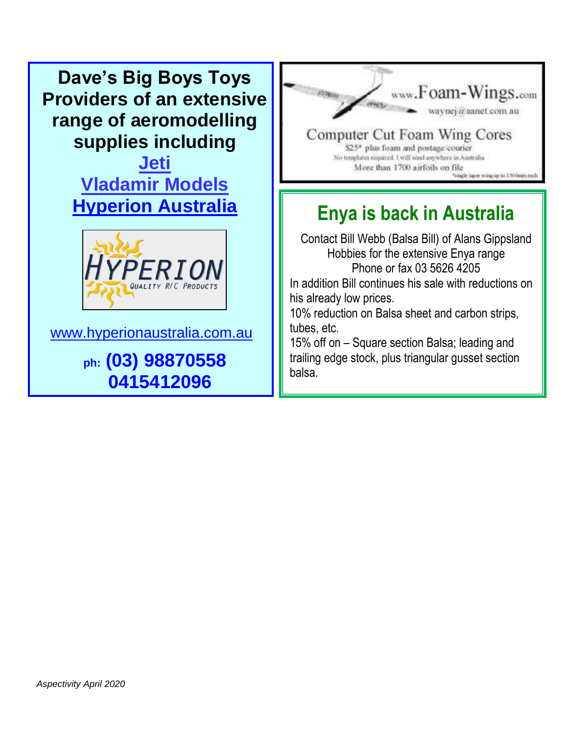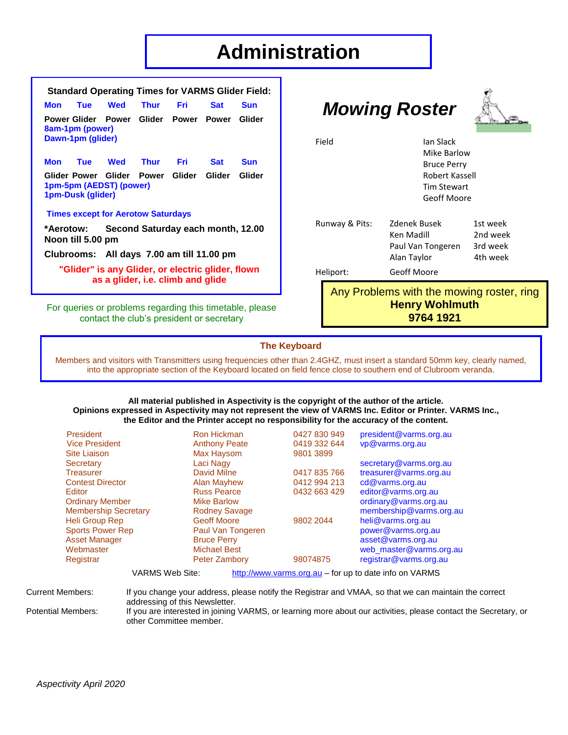## **Administration**

| <b>Standard Operating Times for VARMS Glider Field:</b>                                           |            |     |                      |          |            |            |  |
|---------------------------------------------------------------------------------------------------|------------|-----|----------------------|----------|------------|------------|--|
| Mon                                                                                               | <b>Tue</b> | Wed |                      | Thur Fri | <b>Sat</b> | Sun        |  |
| Power Glider Power Glider Power Power Glider<br>8am-1pm (power)<br>Dawn-1pm (glider)              |            |     |                      |          |            |            |  |
|                                                                                                   |            |     | Mon Tue Wed Thur Fri |          | <b>Sat</b> | <b>Sun</b> |  |
| Glider Power Glider Power Glider Glider<br>Glider<br>1pm-5pm (AEDST) (power)<br>1pm-Dusk (glider) |            |     |                      |          |            |            |  |
| <b>Times except for Aerotow Saturdays</b>                                                         |            |     |                      |          |            |            |  |
| *Aerotow: Second Saturday each month, 12.00<br>Noon till 5.00 pm                                  |            |     |                      |          |            |            |  |
| Clubrooms: All days 7.00 am till 11.00 pm                                                         |            |     |                      |          |            |            |  |
| "Glider" is any Glider, or electric glider, flown<br>as a glider, i.e. climb and glide            |            |     |                      |          |            |            |  |

For queries or problems regarding this timetable, please contact the club's president or secretary

## *Mowing Roster*



Field **Ian Slack** 

| Runway & Pits: | Zdenek Busek<br>Ken Madill<br>Paul Van Tongeren<br>Alan Taylor | 1st week<br>2nd week<br>3rd week<br>4th week |
|----------------|----------------------------------------------------------------|----------------------------------------------|
| Heliport:      | Geoff Moore                                                    |                                              |

Any Problems with the mowing roster, ring **Henry Wohlmuth 9764 1921**

 Mike Barlow Bruce Perry Robert Kassell Tim Stewart Geoff Moore

#### **The Keyboard**

Members and visitors with Transmitters using frequencies other than 2.4GHZ, must insert a standard 50mm key, clearly named, into the appropriate section of the Keyboard located on field fence close to southern end of Clubroom veranda.

#### **All material published in Aspectivity is the copyright of the author of the article. Opinions expressed in Aspectivity may not represent the view of VARMS Inc. Editor or Printer. VARMS Inc., the Editor and the Printer accept no responsibility for the accuracy of the content.**

| <b>President</b>                                                                 | <b>Ron Hickman</b>   | 0427 830 949 | president@varms.org.au  |  |  |  |
|----------------------------------------------------------------------------------|----------------------|--------------|-------------------------|--|--|--|
| <b>Vice President</b>                                                            | <b>Anthony Peate</b> | 0419 332 644 | vp@varms.org.au         |  |  |  |
| <b>Site Liaison</b>                                                              | Max Haysom           | 9801 3899    |                         |  |  |  |
| Secretary                                                                        | Laci Nagy            |              | secretary@varms.org.au  |  |  |  |
| <b>Treasurer</b>                                                                 | David Milne          | 0417 835 766 | treasurer@varms.org.au  |  |  |  |
| <b>Contest Director</b>                                                          | <b>Alan Mayhew</b>   | 0412 994 213 | cd@varms.org.au         |  |  |  |
| Editor                                                                           | <b>Russ Pearce</b>   | 0432 663 429 | editor@varms.org.au     |  |  |  |
| <b>Ordinary Member</b>                                                           | <b>Mike Barlow</b>   |              | ordinary@varms.org.au   |  |  |  |
| <b>Membership Secretary</b>                                                      | <b>Rodney Savage</b> |              | membership@varms.org.au |  |  |  |
| <b>Heli Group Rep</b>                                                            | <b>Geoff Moore</b>   | 9802 2044    | heli@varms.org.au       |  |  |  |
| <b>Sports Power Rep</b>                                                          | Paul Van Tongeren    |              | power@varms.org.au      |  |  |  |
| <b>Asset Manager</b>                                                             | <b>Bruce Perry</b>   |              | asset@varms.org.au      |  |  |  |
| Webmaster                                                                        | <b>Michael Best</b>  |              | web_master@varms.org.au |  |  |  |
| Registrar                                                                        | <b>Peter Zambory</b> | 98074875     | registrar@varms.org.au  |  |  |  |
| <b>VARMS Web Site:</b><br>http://www.varms.org.au - for up to date info on VARMS |                      |              |                         |  |  |  |

Current Members: If you change your address, please notify the Registrar and VMAA, so that we can maintain the correct

addressing of this Newsletter. Potential Members: If you are interested in joining VARMS, or learning more about our activities, please contact the Secretary, or other Committee member.